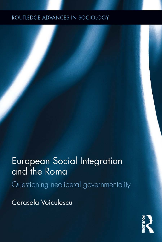### ROUTLEDGE ADVANCES IN SOCIOLOGY



Cerasela Voiculescu

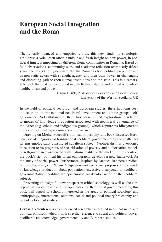### **European Social Integration and the Roma**

Theoretically nuanced and empirically rich, this new study by sociologist Dr. Cerasela Voiculescu offers a unique and fresh insight on how power, in neoliberal times, is impacting on different Roma communities in Romania. Based on field observations, community work and academic reflection over nearly fifteen years, the project deftly deconstructs "the Roma" as both political projection and as non-static actors with strength, agency and their own power in challenging and disrupting gadzhe (non-Roma) institutions and the state. This is a remarkable book that strikes new ground in both Romani studies and critical accounts of neoliberalism and power.

> **Colin Clark**, Professor of Sociology and Social Policy, University of the West of Scotland, UK

In the field of political sociology and European studies, there has long been a discussion on transnational neoliberal development and ethnic groups' selfgovernance. Notwithstanding, there has been limited exploration in relation to modes of knowledge production associated with neoliberal governance of the Other (e.g. ethnic and indigenous groups), which capture its idiosyncratic modes of political expression and empowerment.

Drawing on Michel Foucault's political philosophy, this book discusses European social integration as transnational neoliberal governmentality and challenges its epistemologically constituted subaltern subject. Neoliberalism is questioned in relation to its programs of securitisation of poverty and authoritarian models of self-governance associated with instrumentality of the market. In this context, the book's rich political historical ethnography develops a new framework for the study of social power. Furthermore, inspired by Jacques Ranciere's radical philosophy, *European Social Integration and the Roma* proposes a new mode of knowledge production about populations excessively subjected to neoliberal governmentality, heralding the epistemological decolonisation of the neoliberal subject.

Presenting an insightful new prospect in critical sociology as well as the conceptualisation of power and the application of theories of governmentality, this book will appeal to scholars interested in the areas of political sociology and anthropology, international relations, social and political theory/philosophy and post-development studies.

**Cerasela Voiculescu** is an experienced researcher interested in critical social and political philosophy/theory with specific reference to social and political power, neoliberalism, knowledge, governmentality and European studies.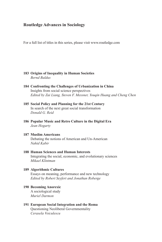### **Routledge Advances in Sociology**

For a full list of titles in this series, please visit [www.routledge.com](http://www.routledge.com)

### **183 Origins of Inequality in Human Societies** *Bernd Baldus*

- **184 Confronting the Challenges of Urbanization in China** Insights from social science perspectives *Edited by Zai Liang, Steven F. Messner, Youqin Huang and Cheng Chen*
- **185 Social Policy and Planning for the 21st Century** In search of the next great social transformation *Donald G. Reid*
- **186 Popular Music and Retro Culture in the Digital Era** *Jean Hogarty*

### **187 Muslim Americans**

Debating the notions of American and Un-American *Nahid Kabir*

### **188 Human Sciences and Human Interests**

Integrating the social, economic, and evolutionary sciences *Mikael Klintman*

### **189 Algorithmic Cultures**

Essays on meaning, performance and new technology *Edited by Robert Seyfert and Jonathan Roberge*

### **190 Becoming Anorexic**

A sociological study *Muriel Darmon*

### **191 European Social Integration and the Roma** Questioning Neoliberal Governmentality *Cerasela Voiculescu*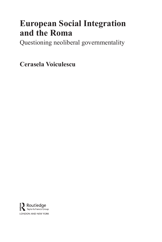# **European Social Integration and the Roma**

Questioning neoliberal governmentality

**Cerasela Voiculescu**

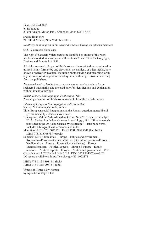First published 2017 by Routledge 2 Park Square, Milton Park, Abingdon, Oxon OX14 4RN

and by Routledge 711 Third Avenue, New York, NY 10017

*Routledge is an imprint of the Taylor & Francis Group, an informa business*

© 2017 Cerasela Voiculescu

The right of Cerasela Voiculescu to be identified as author of this work has been asserted in accordance with sections 77 and 78 of the Copyright, Designs and Patents Act 1988.

All rights reserved. No part of this book may be reprinted or reproduced or utilised in any form or by any electronic, mechanical, or other means, now known or hereafter invented, including photocopying and recording, or in any information storage or retrieval system, without permission in writing from the publishers.

*Trademark notice*: Product or corporate names may be trademarks or registered trademarks, and are used only for identification and explanation without intent to infringe.

*British Library Cataloguing in Publication Data* A catalogue record for this book is available from the British Library

*Library of Congress Cataloging-in-Publication Data*

Names: Voiculescu, Cerasela, author.

Title: European social integration and the Roma : questioning neoliberal governmentality / Cerasela Voiculescu.

Description: Milton Park, Abingdon, Oxon : New York, NY : Routledge, 2017. | Series: Routledge advances in sociology ; 191 | "Simultaneously published in the USA and Canada by Routledge"—Title page verso. | Includes bibliographical references and index.

Identifiers: LCCN 2016022171 | ISBN 9781138898141 (hardback) | ISBN 9781315708737 (ebook)

Subjects: LCSH: Romanies—Europe—Politics and government. | Romanies—Europe—Social conditions. | Social integration—Europe. | Neoliberalism—Europe. | Power (Social sciences)—Europe. | Transnationalism—Political aspects—Europe. | Europe—Ethnic relations—Political aspects. | Europe—Politics and government—1989–

Classification: LCC DX145 .V64 2017 | DDC 305.8914/9704—dc23 LC record available at https://lccn.loc.gov/2016022171

ISBN: 978-1-138-89814-1 (hbk) ISBN: 978-1-315-70873-7 (ebk)

Typeset in Times New Roman by Apex CoVantage, LLC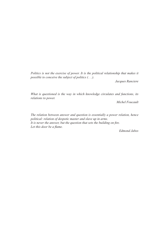*Politics is not the exercise of power. It is the political relationship that makes it possible to conceive the subject of politics (. . .).* 

*Jacques Ranciere*

*What is questioned is the way in which knowledge circulates and functions, its relations to power.*

*Michel Foucault*

*The relation between answer and question is essentially a power relation, hence political: relation of despotic master and slave up in arms. It is never the answer, but the question that sets the building on fire. Let this door be a flame.*

*Edmond Jabes*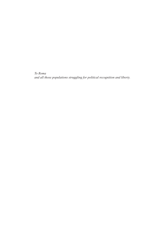*To Roma and all those populations struggling for political recognition and liberty.*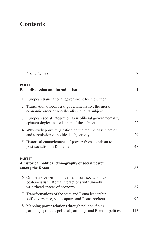## **Contents**

|                                                                                              | List of figures                                                                                                                    | ix  |
|----------------------------------------------------------------------------------------------|------------------------------------------------------------------------------------------------------------------------------------|-----|
| <b>PART I</b><br><b>Book discussion and introduction</b>                                     |                                                                                                                                    |     |
| 1                                                                                            | European transnational government for the Other                                                                                    | 3   |
|                                                                                              | 2 Transnational neoliberal governmentality: the moral<br>economic order of neoliberalism and its subject                           | 9   |
| 3                                                                                            | European social integration as neoliberal governmentality:<br>epistemological colonisation of the subject                          | 22  |
|                                                                                              | 4 Why study power? Questioning the regime of subjection<br>and submission of political subjectivity                                | 29  |
|                                                                                              | 5 Historical entanglements of power: from socialism to<br>post-socialism in Romania                                                | 48  |
| <b>PART II</b><br>A historical political ethnography of social power<br>65<br>among the Roma |                                                                                                                                    |     |
|                                                                                              | 6 On the move within movement from socialism to<br>post-socialism: Roma interactions with smooth<br>vs. striated spaces of economy | 67  |
| 7                                                                                            | Transformations of the state and Roma leadership:<br>self-governance, state capture and Roma brokers                               | 92  |
| 8                                                                                            | Mapping power relations through political fields:<br>patronage politics, political patronage and Romani politics                   | 113 |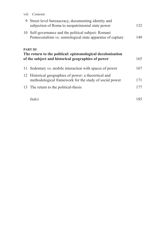| viii                                                                                                                                        | Contents                                                                                                           |     |
|---------------------------------------------------------------------------------------------------------------------------------------------|--------------------------------------------------------------------------------------------------------------------|-----|
| 9                                                                                                                                           | Street level bureaucracy, documenting identity and<br>subjection of Roma to neopatrimonial state power             | 132 |
|                                                                                                                                             | 10 Self-governance and the political subject: Romani<br>Pentecostalism vs. semiological state apparatus of capture | 149 |
| <b>PART III</b><br>The return to the political: epistemological decolonisation<br>165<br>of the subject and historical geographies of power |                                                                                                                    |     |
| 11                                                                                                                                          | Sedentary vs. mobile interaction with spaces of power                                                              | 167 |
|                                                                                                                                             | 12 Historical geographies of power: a theoretical and<br>methodological framework for the study of social power    | 171 |
|                                                                                                                                             | 13 The return to the political-thesis                                                                              | 177 |
|                                                                                                                                             | <i>Index</i>                                                                                                       | 185 |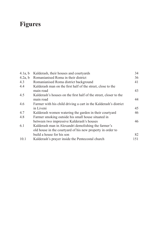# **Figures**

| 4.1a, b | Kalderash, their houses and courtyards                            | 34  |
|---------|-------------------------------------------------------------------|-----|
| 4.2a, b | Romanianised Roma in their district                               | 36  |
| 4.3     | Romanianised Roma district background                             | 41  |
| 4.4     | Kalderash man on the first half of the street, close to the       |     |
|         | main road                                                         | 43  |
| 4.5     | Kalderash's houses on the first half of the street, closer to the |     |
|         | main road                                                         | 44  |
| 4.6     | Farmer with his child driving a cart in the Kalderash's district  |     |
|         | in Liveni                                                         | 45  |
| 4.7     | Kalderash women watering the garden in their courtyard            | 46  |
| 4.8     | Farmer smoking outside his small house situated in                |     |
|         | between two impressive Kalderash's houses                         | 46  |
| 6.1     | Kalderash man in Alexandri demolishing the farmer's               |     |
|         | old house in the courty and of his new property in order to       |     |
|         | build a house for his son                                         | 82  |
| 10.1    | Kalderash's prayer inside the Pentecostal church                  | 151 |
|         |                                                                   |     |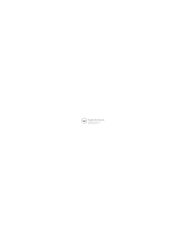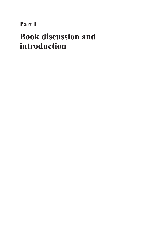# **Part I Book discussion and introduction**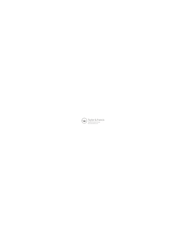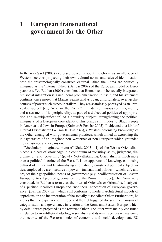## **1 European transnational government for the Other**

In the way Said (2003) expressed concerns about the Orient as an alter-ego of Western societies projecting their own cultural norms and rules of identification onto the epistemologically construed external Other, the Roma are politically imagined as the 'internal Other' (Balibar 2009) of the European model or Europeanness. Yet, Balibar (2009) considers that Roma need to be socially integrated, but social integration is a neoliberal problematisation in itself, and his statement confirms, once more, that Marxist realist analysis can, unfortunately, overlap discourses of power such as neoliberalism. They are seamlessly portrayed as an unrevealed subject<sup>1</sup> (e.g. 'who are the Roma ?')<sup>2</sup>, under continuous scrutiny, inquiry and assessment of its peripherality, as part of a dialectical politics of appropriation and re-subjectification<sup>3</sup> of a boundary subject, strengthening the political imaginary of a European core identity. This brings similitudes to Black People in America and Jews in Europe (Kalmar & Penslar 2005), "subjected to a kind of internal Orientalism" (Wilson III 1981: 63), a Western colonising knowledge of the Other entangled with governmental practices, which aimed at exorcising the idiosyncrasies of an imagined non-Westerner or non-European which grounded their existence and expansion.

"Vocabulary, imaginary, rhetoric" (Said 2003: 41) of the West's Orientalism placed subjects of knowledge in a continuum of "scrutiny, study, judgment, discipline, or [and] governing" (p. 41). Notwithstanding, Orientalism is much more than a political doctrine of the West. It is an apparatus of knowing, colonising cultural identities and territorialising alternatively construed political subjectivities, employed by architectures of power – transnational polities – which reify and project their geopolitical needs of government (e.g. neoliberalisation of Eastern Europe) onto subjects of governance (e.g. the Roma in Europe). The Roma were construed, in Balibar's terms, as the internal Orientals or Orientalised subjects of a purified idealised Europe and "neoliberal conception of European governance" (Balibar 2009: xi), which still conforms to modern architectural models of apprehension and incorporation of the socially disobedient Other. Furthermore, he argues that the expansion of Europe and the EU triggered divisive mechanisms of categorisation and governance in relation to the Roma and Eastern Europe, which by default were projected as the reversed Other. The latter were mainly construed in relation to an antithetical ideology – socialism and its reminiscences – threatening the security of the Western model of economic and social development. EU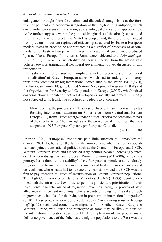enlargement brought these distinctions and dialectical antagonisms at the forefront of political and economic integration of the neighbouring antipode, which commanded processes of translation, epistemological and cultural appropriation. As he further suggests, within the political imaginaries of the already constituted EU, the Roma were projected as 'stateless people' and, therefore, disentangled from previous or current regimes of citizenship structured by Eastern European modern states in order to be appropriated as a signifier of processes of accommodation of Eastern Europe within larger frameworks of governance produced by a neoliberal Europe. In my terms, Roma were subjected to a *dislocated spatialisation of governance*, which diffused their subjection from the nation state policies towards transnational neoliberal governmental power discussed in this introduction.

In substance, EU enlargement implied a sort of pre-accession neoliberal 'normalisation' of Eastern European states, which had to undergo reformatory transitions promoted by big international actors such as the World Bank (WB), the European Union (EU), the United Nation Development Program (UNDP) and the Organization for Security and Cooperation in Europe (OSCE), which raised concerns about a population not yet developed or socially integrated, implicitly not subjected to its legislative structures and ideological contents.

More recently, the processes of EU accession have been an important impetus focusing international attention on Roma issues from Central and Eastern Europe (. . .) Roma issues emerge under political criteria for accession as part of the subchapter on "human rights and the protection of minorities" that was adopted at 1993 European Copenhagen European Council.

(WB 2000: 38)

Prior to 1990, "'European' institutions paid little attention to Roma/Gypsies" (Kovats 2001: 1), but after the fall of the iron curtain, when the former socialist states joined transnational polities such as the Council of Europe and OSCE, Western European states and associated large polities became increasingly interested in securitising Eastern European Roma migration (WB 2000), which was portrayed as a threat to 'the stability' of the European economic area. As already suggested, the Roma themselves were the signifier of Eastern European poverty and de-regulation, whose status had to be supervised constantly, and the OSCE was the first to pay attention to issues of securitisation of Eastern European populations. The High Commissioner of National Minorities (HCNM) (1993) report underlined both the intrinsic and extrinsic scope of its policies and prioritisation of their instrumental character aimed at migration prevention through a process of state allegiance enhancement involving higher standards of living "for the sake of such improvements, but also for the reduction in pressures on international migration" (p. 10). These programs were designed to provide "an enduring sense of belonging" (p. 10), social and economic, to migrants from Southern-Eastern Europe to Western Europe, who "unable to reintegrate at home may be likely to consider the international migration again" (p. 11). The implication of this programmatic deliberate governance of the Other as the migrant populations to the West was the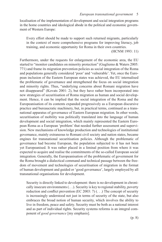localisation of the implementation of development and social integration programs in the home countries and ideological abode in the political and economic government of Western Europe:

Every effort should be made to support such returned migrants, particularly in the context of more comprehensive programs for improving literacy, job training, and economic opportunity for Roma in their own countries.

(HCNM 1993: 11)

Furthermore, under the requests for enlargement of the economic area, the EU started to "monitor candidates on minority protection" (Gugliemo & Waters 2005: 771) and frame its migration prevention policies as social integration of the Roma and populations generally considered 'poor' and 'vulnerable'. Yet, once the European inclusion of the Eastern European states was achieved, the EU internalised the problematic of governance and strengthened the focus on social integration and minority rights. Thus, "underlying concerns about Romani migration have not disappeared" (Kovats 2001: 2), but they have rather been incorporated into new strategies of securitisation of Roma migration as human and social development. Hence, it can be implied that the social integration of the Roma and the Europeanisation of its contents expanded progressively as a European discursive practice and bureaucratic machinery, but, in practical terms, continued as a transnational apparatus of governance of Eastern European migration. In other words, securitisation of mobility was politically translated into the language of human development and social integration, which mainly represented the Eastern European Roma as a European 'problem' that needed further assessment and supervision. New mechanisms of knowledge production and technologies of institutional governance, mainly extraneous to Romani civil society and nation states, became engines for transnational securitisation policies. Although the problematic of governance had become European, the population subjected to it has not been yet Europeanised. It was rather placed in a liminal position from where it was expected to acquire and realise the commitments of the so-called European social integration. Generally, the Europeanisation of the problematic of government for the Roma brought a dialectical command and technical passage between the freedom of movement and technologies of securitisation of migration in the format of human development and guided or 'good governance', largely employed by all transnational organisations for development.

Security is directly linked to development: there is no development in chronically insecure environments (. . .). Security is key to regional stability, poverty reduction and conflict prevention (EC 2003: 7)  $(\ldots)$  The concept of security is increasingly understood not just in terms of security of the state, but also embraces the broad notion of human security, which involves the ability to live in freedom, peace and safety. Security must be both as a national interest and as part of individual rights. Security systems reforms is an integral component of *good governance* [my emphasis].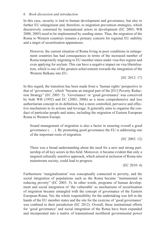### 6 *Book discussion and introduction*

In this case, security is tied to human development and governance, but also to further EU enlargement and, therefore, to migration prevention strategies, which discursively construed by transnational actors in development (EC 2003; WB 2000, 2005) need to be implemented by sending states. Thus, the migration of the Roma to Western countries remains a primary concern for regional EU stability and a target of securitisation apparatuses.

However, the current situation of Roma living in poor conditions in enlargement countries has had consequences in terms of the increased number of Roma temporarily migrating to EU member states under visa-free regime and even applying for asylum. This can have a negative impact on visa liberalisation, which is one of the greatest achievements towards the integration of the Western Balkans into EU.

(EC 2012: 17)

In this regard, the transition has been made from a 'human rights' perspective to that of 'governance', which "became an integral part of the [EU] Poverty Reduction Strategy" (EC 2003: 5). 'Governance' or 'good governance' was conceived by both WB (1992) and EC (2003, 2006) as a more comprehensive and less authoritarian concept in its definition, but a more controlled, pervasive and effective mechanism in its actions and leverage. It generally aims to organise the conduct of particular people and states, including the migration of Eastern European Roma to Western Europe.

Sound management of migration is also a factor in ensuring overall a good governance  $(\ldots)$ . By promoting good governance the EU is addressing one of the important roots of migration.

(EC 2003: 12)

There was a broad understanding about the need for a new and strong partnership of all key actors in this field. Moreover, it became evident that only a targeted culturally sensitive approach, which aimed at inclusion of Roma into mainstream society, could lead to progress.

(EC 2010: 4)

Furthermore 'marginalisation' was conceptually connected to poverty, and the social integration of populations such as the Roma became "instrumental in reducing poverty" (EC 2003: 5). In other words, programs of human development and social integration of 'the vulnerable' as mechanisms of securitisation of migration became entangled with the concept of governance of the Eastern European Roma. Yet, the whole responsibility for the undertaking was left in the hands of the EU member states and the site for the exercise of 'good governance' was confined to their jurisdiction (EC 2012). Overall, these institutional efforts for 'good governance' and social integration of the Roma have been expanded and incorporated into a matrix of transnational neoliberal governmental power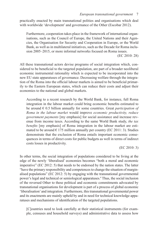practically enacted by main transnational polities and organisations which deal with worldwide 'development' and governance of the Other (Escobar 2012).

Furthermore, cooperation takes place in the framework of international organisations, such as the Council of Europe, the United Nations and their Agencies, the Organisation for Security and Cooperation in Europe, or the World Bank, as well as in multilateral initiatives, such as the Decade for Roma inclusion 2005–2015, or more informal networks focused on Roma issues.

(EC 2010: 28)

All these transnational actors devise programs of social integration which, considered to be beneficial to the targeted population, are part of a broader neoliberal economic instrumental rationality which is expected to be incorporated into the new EU state apparatuses of governance. Decreasing welfare through the integration of the Roma into the official labour markets is aimed to be beneficial primarily to the Eastern European states, which can reduce their costs and adjust their economies to the national and global markets.

According to a recent research by the World Bank, for instance, full Roma integration in the labour market could bring economic benefits estimated to be around € 0.5 billion annually for some countries. Great *participation of Roma in the labour market* would improve *economic productivity, reduce government payments* [my emphasis] for social assistance and increase revenue from income taxes. According to the same World Bank study, *the tax benefits* [my emphasis] of Roma integration in the labour market are estimated to be around  $\epsilon$  175 million annually per country (EC 2011: 3). Studies demonstrate that the exclusion of Roma entails important economic consequences in terms of direct costs for public budgets as well in terms of indirect costs losses in productivity.

(EC 2010: 3)

In other terms, the social integration of populations considered to be living at the edge of the newly 'liberalised' economies becomes "both a moral and economic imperative" (EC 2012: 5) that needs to be endorsed by the nation states. The latter "have the primary responsibility and competences to change the situation of marginalised populations" (EC 2012: 5) by engaging with the transnational governmental power's legal and technical or semiological apparatuses.4 Thus, the social inclusion of the reversed Other to these political and economic commitments advocated by transnational organisations for development is part of a process of global economic 'liberalisation' and integration. Furthermore, this transnational governmental power and its enactments are mainly upheld by and in need for technical knowledge apparatuses and mechanisms of identification of the targeted populations.

[C]ountries need to look carefully at their statistical instruments (for example, censuses and household surveys) and administrative data to assess how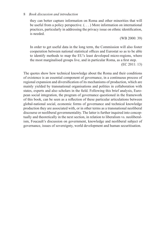#### 8 *Book discussion and introduction*

they can better capture information on Roma and other minorities that will be useful from a policy perspective. (. . . ) More information on international practices, particularly in addressing the privacy issue on ethnic identification, is needed.

(WB 2000: 39)

In order to get useful data in the long term, the Commission will also foster cooperation between national statistical offices and Eurostat so as to be able to identify methods to map the EU's least developed micro-regions, where the most marginalised groups live, and in particular Roma, as a first step.

(EC 2011: 13)

The quotes show how technical knowledge about the Roma and their conditions of existence is an essential component of governance, in a continuous process of regional expansion and diversification of its mechanisms of production, which are mainly yielded by transnational organisations and polities in collaboration with states, experts and also scholars in the field. Following this brief analysis, European social integration, the program of governance questioned in the framework of this book, can be seen as a reflection of these particular articulations between global-national social, economic forms of governance and technical knowledge production they are associated with, or in other terms as a transnational neoliberal discourse or neoliberal governmentality. The latter is further inquired into conceptually and theoretically in the next section, in relation to liberalism vs. neoliberalism, Foucault's discussion on government, knowledge and neoliberal subject of governance, issues of sovereignty, world development and human securitisation.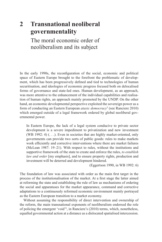## **2 Transnational neoliberal governmentality**

The moral economic order of neoliberalism and its subject

In the early 1990s, the reconfiguration of the social, economic and political space of Eastern Europe brought to the forefront the problematic of development, which has been progressively defined and tied to technologies of human securitisation, and ideologies of economic progress focused both on delocalised forms of governance and state-led ones. Human development, as an approach, was more attentive to the enhancement of the individual capabilities and realisation of human rights, an approach mainly promoted by the UNDP. On the other hand, an economic developmental perspective exploited the sovereign power as a form of conducting an Eastern European *ataxic democracy*5 (see Ranciere 2010) which emerged outside of a legal framework ordered by global neoliberal governmental power.

In Eastern Europe, the lack of a legal system conducive to private sector development is a severe impediment to privatization and new investment (WB 1992: 4) (. . .). Even in societies that are highly market-oriented, only governments can provide two sorts of public goods: rules to make markets work efficiently and corrective interventions where there are market failures (McLean 1987: 19–21). With respect to rules, without the institutions and supportive framework of the state to create and enforce the rules, *to establish law and order* [my emphasis], and to ensure property rights, production and investment will be deterred and development hindered.

(Eggertson 1990, in WB 1992: 6)

The foundation of law was associated with order as the main first target in the process of the institutionalisation of the market. At a first stage the latter aimed at reforming the state and establishing the rule of law as mechanisms of ordering the social and apparatuses for the market appearance, command and corrective adaptations to a continuously reformed economic environment mainly portrayed as the Eastern European transition to a market economy.

Without assuming the responsibility of direct intervention and ownership of the reform, the main transnational exponents of neoliberalism endorsed the role of policing the emergent 'void'6 , in Ranciere's (2010) terms, which, nonetheless, equalled governmental action at a distance as a dislocated spatialised intercession.